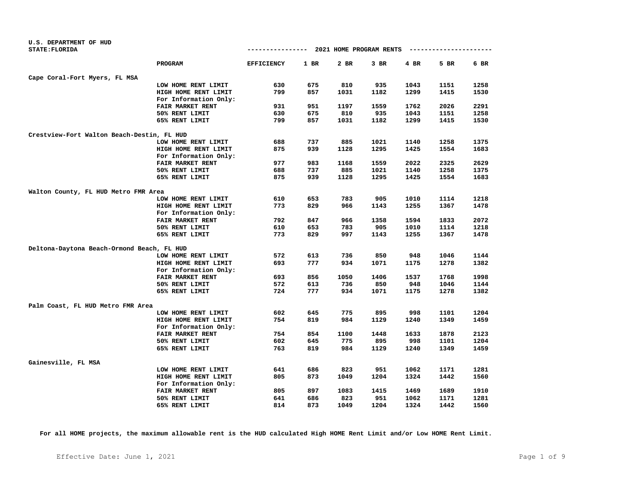| U.S. DEPARTMENT OF HUD                     |                         |                   |        |                                       |        |      |                        |      |
|--------------------------------------------|-------------------------|-------------------|--------|---------------------------------------|--------|------|------------------------|------|
| <b>STATE: FLORIDA</b>                      |                         |                   |        | ------------- 2021 HOME PROGRAM RENTS |        |      | ---------------------- |      |
|                                            | PROGRAM                 | <b>EFFICIENCY</b> | $1$ BR | 2 BR                                  | $3$ BR | 4 BR | 5 BR                   | 6 BR |
| Cape Coral-Fort Myers, FL MSA              |                         |                   |        |                                       |        |      |                        |      |
|                                            | LOW HOME RENT LIMIT     | 630               | 675    | 810                                   | 935    | 1043 | 1151                   | 1258 |
|                                            | HIGH HOME RENT LIMIT    | 799               | 857    | 1031                                  | 1182   | 1299 | 1415                   | 1530 |
|                                            | For Information Only:   |                   |        |                                       |        |      |                        |      |
|                                            | FAIR MARKET RENT        | 931               | 951    | 1197                                  | 1559   | 1762 | 2026                   | 2291 |
|                                            | 50% RENT LIMIT          | 630               | 675    | 810                                   | 935    | 1043 | 1151                   | 1258 |
|                                            | 65% RENT LIMIT          | 799               | 857    | 1031                                  | 1182   | 1299 | 1415                   | 1530 |
| Crestview-Fort Walton Beach-Destin, FL HUD |                         |                   |        |                                       |        |      |                        |      |
|                                            | LOW HOME RENT LIMIT     | 688               | 737    | 885                                   | 1021   | 1140 | 1258                   | 1375 |
|                                            | HIGH HOME RENT LIMIT    | 875               | 939    | 1128                                  | 1295   | 1425 | 1554                   | 1683 |
|                                            | For Information Only:   |                   |        |                                       |        |      |                        |      |
|                                            | FAIR MARKET RENT        | 977               | 983    | 1168                                  | 1559   | 2022 | 2325                   | 2629 |
|                                            | 50% RENT LIMIT          | 688               | 737    | 885                                   | 1021   | 1140 | 1258                   | 1375 |
|                                            | 65% RENT LIMIT          | 875               | 939    | 1128                                  | 1295   | 1425 | 1554                   | 1683 |
| Walton County, FL HUD Metro FMR Area       |                         |                   |        |                                       |        |      |                        |      |
|                                            | LOW HOME RENT LIMIT     | 610               | 653    | 783                                   | 905    | 1010 | 1114                   | 1218 |
|                                            | HIGH HOME RENT LIMIT    | 773               | 829    | 966                                   | 1143   | 1255 | 1367                   | 1478 |
|                                            | For Information Only:   |                   |        |                                       |        |      |                        |      |
|                                            | <b>FAIR MARKET RENT</b> | 792               | 847    | 966                                   | 1358   | 1594 | 1833                   | 2072 |
|                                            | 50% RENT LIMIT          | 610               | 653    | 783                                   | 905    | 1010 | 1114                   | 1218 |
|                                            | 65% RENT LIMIT          | 773               | 829    | 997                                   | 1143   | 1255 | 1367                   | 1478 |
| Deltona-Daytona Beach-Ormond Beach, FL HUD |                         |                   |        |                                       |        |      |                        |      |
|                                            | LOW HOME RENT LIMIT     | 572               | 613    | 736                                   | 850    | 948  | 1046                   | 1144 |
|                                            | HIGH HOME RENT LIMIT    | 693               | 777    | 934                                   | 1071   | 1175 | 1278                   | 1382 |
|                                            | For Information Only:   |                   |        |                                       |        |      |                        |      |
|                                            | FAIR MARKET RENT        | 693               | 856    | 1050                                  | 1406   | 1537 | 1768                   | 1998 |
|                                            | 50% RENT LIMIT          | 572               | 613    | 736                                   | 850    | 948  | 1046                   | 1144 |
|                                            | 65% RENT LIMIT          | 724               | 777    | 934                                   | 1071   | 1175 | 1278                   | 1382 |
| Palm Coast, FL HUD Metro FMR Area          |                         |                   |        |                                       |        |      |                        |      |
|                                            | LOW HOME RENT LIMIT     | 602               | 645    | 775                                   | 895    | 998  | 1101                   | 1204 |
|                                            | HIGH HOME RENT LIMIT    | 754               | 819    | 984                                   | 1129   | 1240 | 1349                   | 1459 |
|                                            | For Information Only:   |                   |        |                                       |        |      |                        |      |
|                                            | FAIR MARKET RENT        | 754               | 854    | 1100                                  | 1448   | 1633 | 1878                   | 2123 |
|                                            | 50% RENT LIMIT          | 602               | 645    | 775                                   | 895    | 998  | 1101                   | 1204 |
|                                            | 65% RENT LIMIT          | 763               | 819    | 984                                   | 1129   | 1240 | 1349                   | 1459 |
| Gainesville, FL MSA                        |                         |                   |        |                                       |        |      |                        |      |
|                                            | LOW HOME RENT LIMIT     | 641               | 686    | 823                                   | 951    | 1062 | 1171                   | 1281 |
|                                            | HIGH HOME RENT LIMIT    | 805               | 873    | 1049                                  | 1204   | 1324 | 1442                   | 1560 |
|                                            | For Information Only:   |                   |        |                                       |        |      |                        |      |
|                                            | FAIR MARKET RENT        | 805               | 897    | 1083                                  | 1415   | 1469 | 1689                   | 1910 |
|                                            | 50% RENT LIMIT          | 641               | 686    | 823                                   | 951    | 1062 | 1171                   | 1281 |
|                                            | 65% RENT LIMIT          | 814               | 873    | 1049                                  | 1204   | 1324 | 1442                   | 1560 |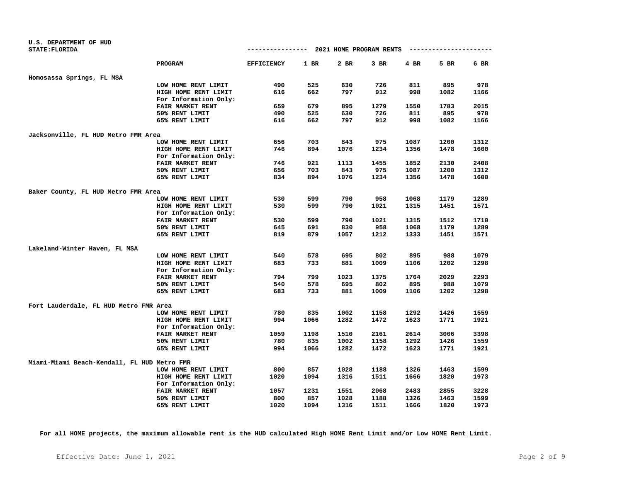| U.S. DEPARTMENT OF HUD                      |                         |                   |      |                                       |        |        |                        |        |
|---------------------------------------------|-------------------------|-------------------|------|---------------------------------------|--------|--------|------------------------|--------|
| <b>STATE: FLORIDA</b>                       |                         |                   |      | ------------- 2021 HOME PROGRAM RENTS |        |        | ---------------------- |        |
|                                             | <b>PROGRAM</b>          | <b>EFFICIENCY</b> | 1 BR | 2 BR                                  | $3$ BR | $4$ BR | 5 BR                   | $6$ BR |
| Homosassa Springs, FL MSA                   |                         |                   |      |                                       |        |        |                        |        |
|                                             | LOW HOME RENT LIMIT     | 490               | 525  | 630                                   | 726    | 811    | 895                    | 978    |
|                                             | HIGH HOME RENT LIMIT    | 616               | 662  | 797                                   | 912    | 998    | 1082                   | 1166   |
|                                             | For Information Only:   |                   |      |                                       |        |        |                        |        |
|                                             | FAIR MARKET RENT        | 659               | 679  | 895                                   | 1279   | 1550   | 1783                   | 2015   |
|                                             | 50% RENT LIMIT          | 490               | 525  | 630                                   | 726    | 811    | 895                    | 978    |
|                                             | 65% RENT LIMIT          | 616               | 662  | 797                                   | 912    | 998    | 1082                   | 1166   |
|                                             |                         |                   |      |                                       |        |        |                        |        |
| Jacksonville, FL HUD Metro FMR Area         | LOW HOME RENT LIMIT     | 656               | 703  | 843                                   | 975    | 1087   | 1200                   | 1312   |
|                                             | HIGH HOME RENT LIMIT    | 746               | 894  | 1076                                  | 1234   | 1356   | 1478                   | 1600   |
|                                             | For Information Only:   |                   |      |                                       |        |        |                        |        |
|                                             | FAIR MARKET RENT        | 746               | 921  | 1113                                  | 1455   | 1852   | 2130                   | 2408   |
|                                             | 50% RENT LIMIT          | 656               | 703  | 843                                   | 975    | 1087   | 1200                   | 1312   |
|                                             | 65% RENT LIMIT          | 834               | 894  | 1076                                  | 1234   | 1356   | 1478                   | 1600   |
|                                             |                         |                   |      |                                       |        |        |                        |        |
| Baker County, FL HUD Metro FMR Area         |                         |                   |      |                                       |        |        |                        |        |
|                                             | LOW HOME RENT LIMIT     | 530               | 599  | 790                                   | 958    | 1068   | 1179                   | 1289   |
|                                             | HIGH HOME RENT LIMIT    | 530               | 599  | 790                                   | 1021   | 1315   | 1451                   | 1571   |
|                                             | For Information Only:   |                   |      |                                       |        |        |                        |        |
|                                             | <b>FAIR MARKET RENT</b> | 530               | 599  | 790                                   | 1021   | 1315   | 1512                   | 1710   |
|                                             | 50% RENT LIMIT          | 645               | 691  | 830                                   | 958    | 1068   | 1179                   | 1289   |
|                                             | 65% RENT LIMIT          | 819               | 879  | 1057                                  | 1212   | 1333   | 1451                   | 1571   |
| Lakeland-Winter Haven, FL MSA               |                         |                   |      |                                       |        |        |                        |        |
|                                             | LOW HOME RENT LIMIT     | 540               | 578  | 695                                   | 802    | 895    | 988                    | 1079   |
|                                             | HIGH HOME RENT LIMIT    | 683               | 733  | 881                                   | 1009   | 1106   | 1202                   | 1298   |
|                                             | For Information Only:   |                   |      |                                       |        |        |                        |        |
|                                             | FAIR MARKET RENT        | 794               | 799  | 1023                                  | 1375   | 1764   | 2029                   | 2293   |
|                                             | 50% RENT LIMIT          | 540               | 578  | 695                                   | 802    | 895    | 988                    | 1079   |
|                                             | 65% RENT LIMIT          | 683               | 733  | 881                                   | 1009   | 1106   | 1202                   | 1298   |
| Fort Lauderdale, FL HUD Metro FMR Area      |                         |                   |      |                                       |        |        |                        |        |
|                                             | LOW HOME RENT LIMIT     | 780               | 835  | 1002                                  | 1158   | 1292   | 1426                   | 1559   |
|                                             | HIGH HOME RENT LIMIT    | 994               | 1066 | 1282                                  | 1472   | 1623   | 1771                   | 1921   |
|                                             | For Information Only:   |                   |      |                                       |        |        |                        |        |
|                                             | FAIR MARKET RENT        | 1059              | 1198 | 1510                                  | 2161   | 2614   | 3006                   | 3398   |
|                                             | 50% RENT LIMIT          | 780               | 835  | 1002                                  | 1158   | 1292   | 1426                   | 1559   |
|                                             | 65% RENT LIMIT          | 994               | 1066 | 1282                                  | 1472   | 1623   | 1771                   | 1921   |
| Miami-Miami Beach-Kendall, FL HUD Metro FMR |                         |                   |      |                                       |        |        |                        |        |
|                                             | LOW HOME RENT LIMIT     | 800               | 857  | 1028                                  | 1188   | 1326   | 1463                   | 1599   |
|                                             | HIGH HOME RENT LIMIT    | 1020              | 1094 | 1316                                  | 1511   | 1666   | 1820                   | 1973   |
|                                             | For Information Only:   |                   |      |                                       |        |        |                        |        |
|                                             | FAIR MARKET RENT        | 1057              | 1231 | 1551                                  | 2068   | 2483   | 2855                   | 3228   |
|                                             | 50% RENT LIMIT          | 800               | 857  | 1028                                  | 1188   | 1326   | 1463                   | 1599   |
|                                             | 65% RENT LIMIT          | 1020              | 1094 | 1316                                  | 1511   | 1666   | 1820                   | 1973   |
|                                             |                         |                   |      |                                       |        |        |                        |        |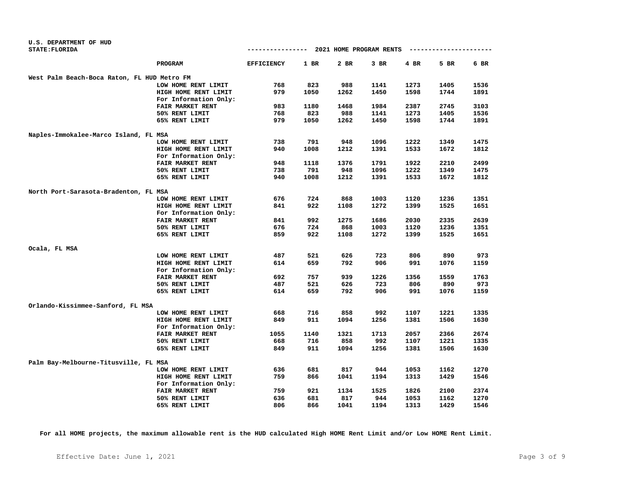| U.S. DEPARTMENT OF HUD<br><b>STATE: FLORIDA</b> |                       | --------------    |        | 2021 HOME PROGRAM RENTS |      |      |      |      |
|-------------------------------------------------|-----------------------|-------------------|--------|-------------------------|------|------|------|------|
|                                                 |                       |                   |        |                         |      |      |      |      |
|                                                 | PROGRAM               | <b>EFFICIENCY</b> | $1$ BR | 2 BR                    | 3 BR | 4 BR | 5 BR | 6 BR |
| West Palm Beach-Boca Raton, FL HUD Metro FM     |                       |                   |        |                         |      |      |      |      |
|                                                 | LOW HOME RENT LIMIT   | 768               | 823    | 988                     | 1141 | 1273 | 1405 | 1536 |
|                                                 | HIGH HOME RENT LIMIT  | 979               | 1050   | 1262                    | 1450 | 1598 | 1744 | 1891 |
|                                                 | For Information Only: |                   |        |                         |      |      |      |      |
|                                                 | FAIR MARKET RENT      | 983               | 1180   | 1468                    | 1984 | 2387 | 2745 | 3103 |
|                                                 | 50% RENT LIMIT        | 768               | 823    | 988                     | 1141 | 1273 | 1405 | 1536 |
|                                                 | 65% RENT LIMIT        | 979               | 1050   | 1262                    | 1450 | 1598 | 1744 | 1891 |
| Naples-Immokalee-Marco Island, FL MSA           |                       |                   |        |                         |      |      |      |      |
|                                                 | LOW HOME RENT LIMIT   | 738               | 791    | 948                     | 1096 | 1222 | 1349 | 1475 |
|                                                 | HIGH HOME RENT LIMIT  | 940               | 1008   | 1212                    | 1391 | 1533 | 1672 | 1812 |
|                                                 | For Information Only: |                   |        |                         |      |      |      |      |
|                                                 | FAIR MARKET RENT      | 948               | 1118   | 1376                    | 1791 | 1922 | 2210 | 2499 |
|                                                 | 50% RENT LIMIT        | 738               | 791    | 948                     | 1096 | 1222 | 1349 | 1475 |
|                                                 | 65% RENT LIMIT        | 940               | 1008   | 1212                    | 1391 | 1533 | 1672 | 1812 |
| North Port-Sarasota-Bradenton, FL MSA           |                       |                   |        |                         |      |      |      |      |
|                                                 | LOW HOME RENT LIMIT   | 676               | 724    | 868                     | 1003 | 1120 | 1236 | 1351 |
|                                                 | HIGH HOME RENT LIMIT  | 841               | 922    | 1108                    | 1272 | 1399 | 1525 | 1651 |
|                                                 | For Information Only: |                   |        |                         |      |      |      |      |
|                                                 | FAIR MARKET RENT      | 841               | 992    | 1275                    | 1686 | 2030 | 2335 | 2639 |
|                                                 | 50% RENT LIMIT        | 676               | 724    | 868                     | 1003 | 1120 | 1236 | 1351 |
|                                                 | 65% RENT LIMIT        | 859               | 922    | 1108                    | 1272 | 1399 | 1525 | 1651 |
| Ocala, FL MSA                                   |                       |                   |        |                         |      |      |      |      |
|                                                 | LOW HOME RENT LIMIT   | 487               | 521    | 626                     | 723  | 806  | 890  | 973  |
|                                                 | HIGH HOME RENT LIMIT  | 614               | 659    | 792                     | 906  | 991  | 1076 | 1159 |
|                                                 | For Information Only: |                   |        |                         |      |      |      |      |
|                                                 | FAIR MARKET RENT      | 692               | 757    | 939                     | 1226 | 1356 | 1559 | 1763 |
|                                                 | 50% RENT LIMIT        | 487               | 521    | 626                     | 723  | 806  | 890  | 973  |
|                                                 | 65% RENT LIMIT        | 614               | 659    | 792                     | 906  | 991  | 1076 | 1159 |
| Orlando-Kissimmee-Sanford, FL MSA               |                       |                   |        |                         |      |      |      |      |
|                                                 | LOW HOME RENT LIMIT   | 668               | 716    | 858                     | 992  | 1107 | 1221 | 1335 |
|                                                 | HIGH HOME RENT LIMIT  | 849               | 911    | 1094                    | 1256 | 1381 | 1506 | 1630 |
|                                                 | For Information Only: |                   |        |                         |      |      |      |      |
|                                                 | FAIR MARKET RENT      | 1055              | 1140   | 1321                    | 1713 | 2057 | 2366 | 2674 |
|                                                 | 50% RENT LIMIT        | 668               | 716    | 858                     | 992  | 1107 | 1221 | 1335 |
|                                                 | 65% RENT LIMIT        | 849               | 911    | 1094                    | 1256 | 1381 | 1506 | 1630 |
|                                                 |                       |                   |        |                         |      |      |      |      |
| Palm Bay-Melbourne-Titusville, FL MSA           |                       |                   |        |                         |      |      |      |      |
|                                                 | LOW HOME RENT LIMIT   | 636               | 681    | 817                     | 944  | 1053 | 1162 | 1270 |
|                                                 | HIGH HOME RENT LIMIT  | 759               | 866    | 1041                    | 1194 | 1313 | 1429 | 1546 |
|                                                 | For Information Only: |                   |        |                         |      |      |      |      |
|                                                 | FAIR MARKET RENT      | 759               | 921    | 1134                    | 1525 | 1826 | 2100 | 2374 |
|                                                 | 50% RENT LIMIT        | 636               | 681    | 817                     | 944  | 1053 | 1162 | 1270 |
|                                                 | 65% RENT LIMIT        | 806               | 866    | 1041                    | 1194 | 1313 | 1429 | 1546 |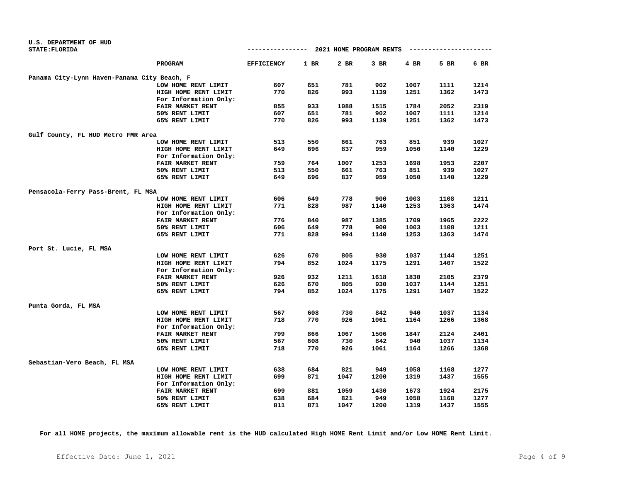| U.S. DEPARTMENT OF HUD                      |                       |                   |      |                         |      |        |             |      |
|---------------------------------------------|-----------------------|-------------------|------|-------------------------|------|--------|-------------|------|
| <b>STATE: FLORIDA</b>                       |                       | --------------    |      | 2021 HOME PROGRAM RENTS |      |        | ----------- |      |
|                                             | PROGRAM               | <b>EFFICIENCY</b> | 1 BR | 2 BR                    | 3 BR | $4$ BR | 5 BR        | 6 BR |
| Panama City-Lynn Haven-Panama City Beach, F |                       |                   |      |                         |      |        |             |      |
|                                             | LOW HOME RENT LIMIT   | 607               | 651  | 781                     | 902  | 1007   | 1111        | 1214 |
|                                             | HIGH HOME RENT LIMIT  | 770               | 826  | 993                     | 1139 | 1251   | 1362        | 1473 |
|                                             | For Information Only: |                   |      |                         |      |        |             |      |
|                                             | FAIR MARKET RENT      | 855               | 933  | 1088                    | 1515 | 1784   | 2052        | 2319 |
|                                             | 50% RENT LIMIT        | 607               | 651  | 781                     | 902  | 1007   | 1111        | 1214 |
|                                             | 65% RENT LIMIT        | 770               | 826  | 993                     | 1139 | 1251   | 1362        | 1473 |
| Gulf County, FL HUD Metro FMR Area          |                       |                   |      |                         |      |        |             |      |
|                                             | LOW HOME RENT LIMIT   | 513               | 550  | 661                     | 763  | 851    | 939         | 1027 |
|                                             | HIGH HOME RENT LIMIT  | 649               | 696  | 837                     | 959  | 1050   | 1140        | 1229 |
|                                             | For Information Only: |                   |      |                         |      |        |             |      |
|                                             | FAIR MARKET RENT      | 759               | 764  | 1007                    | 1253 | 1698   | 1953        | 2207 |
|                                             | 50% RENT LIMIT        | 513               | 550  | 661                     | 763  | 851    | 939         | 1027 |
|                                             | 65% RENT LIMIT        | 649               | 696  | 837                     | 959  | 1050   | 1140        | 1229 |
| Pensacola-Ferry Pass-Brent, FL MSA          |                       |                   |      |                         |      |        |             |      |
|                                             | LOW HOME RENT LIMIT   | 606               | 649  | 778                     | 900  | 1003   | 1108        | 1211 |
|                                             | HIGH HOME RENT LIMIT  | 771               | 828  | 987                     | 1140 | 1253   | 1363        | 1474 |
|                                             | For Information Only: |                   |      |                         |      |        |             |      |
|                                             | FAIR MARKET RENT      | 776               | 840  | 987                     | 1385 | 1709   | 1965        | 2222 |
|                                             | 50% RENT LIMIT        | 606               | 649  | 778                     | 900  | 1003   | 1108        | 1211 |
|                                             | 65% RENT LIMIT        | 771               | 828  | 994                     | 1140 | 1253   | 1363        | 1474 |
| Port St. Lucie, FL MSA                      |                       |                   |      |                         |      |        |             |      |
|                                             | LOW HOME RENT LIMIT   | 626               | 670  | 805                     | 930  | 1037   | 1144        | 1251 |
|                                             | HIGH HOME RENT LIMIT  | 794               | 852  | 1024                    | 1175 | 1291   | 1407        | 1522 |
|                                             | For Information Only: |                   |      |                         |      |        |             |      |
|                                             | FAIR MARKET RENT      | 926               | 932  | 1211                    | 1618 | 1830   | 2105        | 2379 |
|                                             | 50% RENT LIMIT        | 626               | 670  | 805                     | 930  | 1037   | 1144        | 1251 |
|                                             | 65% RENT LIMIT        | 794               | 852  | 1024                    | 1175 | 1291   | 1407        | 1522 |
| Punta Gorda, FL MSA                         |                       |                   |      |                         |      |        |             |      |
|                                             | LOW HOME RENT LIMIT   | 567               | 608  | 730                     | 842  | 940    | 1037        | 1134 |
|                                             | HIGH HOME RENT LIMIT  | 718               | 770  | 926                     | 1061 | 1164   | 1266        | 1368 |
|                                             | For Information Only: |                   |      |                         |      |        |             |      |
|                                             | FAIR MARKET RENT      | 799               | 866  | 1067                    | 1506 | 1847   | 2124        | 2401 |
|                                             | 50% RENT LIMIT        | 567               | 608  | 730                     | 842  | 940    | 1037        | 1134 |
|                                             | 65% RENT LIMIT        | 718               | 770  | 926                     | 1061 | 1164   | 1266        | 1368 |
| Sebastian-Vero Beach, FL MSA                |                       |                   |      |                         |      |        |             |      |
|                                             | LOW HOME RENT LIMIT   | 638               | 684  | 821                     | 949  | 1058   | 1168        | 1277 |
|                                             | HIGH HOME RENT LIMIT  | 699               | 871  | 1047                    | 1200 | 1319   | 1437        | 1555 |
|                                             | For Information Only: |                   |      |                         |      |        |             |      |
|                                             | FAIR MARKET RENT      | 699               | 881  | 1059                    | 1430 | 1673   | 1924        | 2175 |
|                                             | 50% RENT LIMIT        | 638               | 684  | 821                     | 949  | 1058   | 1168        | 1277 |
|                                             | 65% RENT LIMIT        | 811               | 871  | 1047                    | 1200 | 1319   | 1437        | 1555 |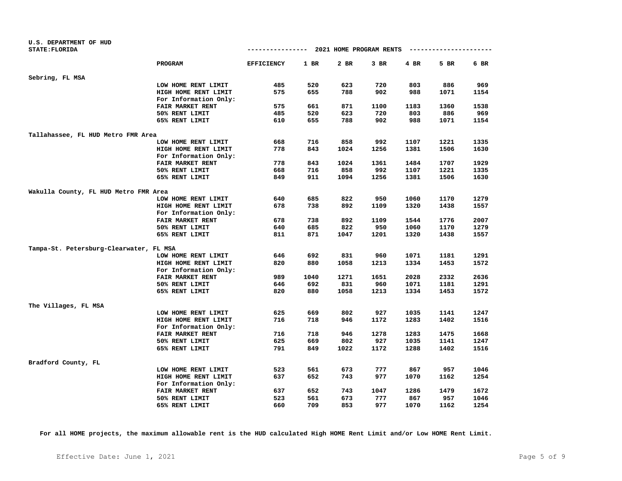| U.S. DEPARTMENT OF HUD                  |                         |                   |      |      |                                       |      |      |      |
|-----------------------------------------|-------------------------|-------------------|------|------|---------------------------------------|------|------|------|
| <b>STATE: FLORIDA</b>                   |                         |                   |      |      | ------------- 2021 HOME PROGRAM RENTS |      |      |      |
|                                         | PROGRAM                 | <b>EFFICIENCY</b> | 1 BR | 2 BR | $3$ BR                                | 4 BR | 5 BR | 6 BR |
| Sebring, FL MSA                         |                         |                   |      |      |                                       |      |      |      |
|                                         | LOW HOME RENT LIMIT     | 485               | 520  | 623  | 720                                   | 803  | 886  | 969  |
|                                         | HIGH HOME RENT LIMIT    | 575               | 655  | 788  | 902                                   | 988  | 1071 | 1154 |
|                                         | For Information Only:   |                   |      |      |                                       |      |      |      |
|                                         | <b>FAIR MARKET RENT</b> | 575               | 661  | 871  | 1100                                  | 1183 | 1360 | 1538 |
|                                         | 50% RENT LIMIT          | 485               | 520  | 623  | 720                                   | 803  | 886  | 969  |
|                                         | 65% RENT LIMIT          | 610               | 655  | 788  | 902                                   | 988  | 1071 | 1154 |
| Tallahassee, FL HUD Metro FMR Area      |                         |                   |      |      |                                       |      |      |      |
|                                         | LOW HOME RENT LIMIT     | 668               | 716  | 858  | 992                                   | 1107 | 1221 | 1335 |
|                                         | HIGH HOME RENT LIMIT    | 778               | 843  | 1024 | 1256                                  | 1381 | 1506 | 1630 |
|                                         | For Information Only:   |                   |      |      |                                       |      |      |      |
|                                         | FAIR MARKET RENT        | 778               | 843  | 1024 | 1361                                  | 1484 | 1707 | 1929 |
|                                         | 50% RENT LIMIT          | 668               | 716  | 858  | 992                                   | 1107 | 1221 | 1335 |
|                                         | 65% RENT LIMIT          | 849               | 911  | 1094 | 1256                                  | 1381 | 1506 | 1630 |
| Wakulla County, FL HUD Metro FMR Area   |                         |                   |      |      |                                       |      |      |      |
|                                         | LOW HOME RENT LIMIT     | 640               | 685  | 822  | 950                                   | 1060 | 1170 | 1279 |
|                                         | HIGH HOME RENT LIMIT    | 678               | 738  | 892  | 1109                                  | 1320 | 1438 | 1557 |
|                                         | For Information Only:   |                   |      |      |                                       |      |      |      |
|                                         | <b>FAIR MARKET RENT</b> | 678               | 738  | 892  | 1109                                  | 1544 | 1776 | 2007 |
|                                         | 50% RENT LIMIT          | 640               | 685  | 822  | 950                                   | 1060 | 1170 | 1279 |
|                                         | 65% RENT LIMIT          | 811               | 871  | 1047 | 1201                                  | 1320 | 1438 | 1557 |
| Tampa-St. Petersburg-Clearwater, FL MSA |                         |                   |      |      |                                       |      |      |      |
|                                         | LOW HOME RENT LIMIT     | 646               | 692  | 831  | 960                                   | 1071 | 1181 | 1291 |
|                                         | HIGH HOME RENT LIMIT    | 820               | 880  | 1058 | 1213                                  | 1334 | 1453 | 1572 |
|                                         | For Information Only:   |                   |      |      |                                       |      |      |      |
|                                         | <b>FAIR MARKET RENT</b> | 989               | 1040 | 1271 | 1651                                  | 2028 | 2332 | 2636 |
|                                         | 50% RENT LIMIT          | 646               | 692  | 831  | 960                                   | 1071 | 1181 | 1291 |
|                                         | 65% RENT LIMIT          | 820               | 880  | 1058 | 1213                                  | 1334 | 1453 | 1572 |
| The Villages, FL MSA                    |                         |                   |      |      |                                       |      |      |      |
|                                         | LOW HOME RENT LIMIT     | 625               | 669  | 802  | 927                                   | 1035 | 1141 | 1247 |
|                                         | HIGH HOME RENT LIMIT    | 716               | 718  | 946  | 1172                                  | 1283 | 1402 | 1516 |
|                                         | For Information Only:   |                   |      |      |                                       |      |      |      |
|                                         | FAIR MARKET RENT        | 716               | 718  | 946  | 1278                                  | 1283 | 1475 | 1668 |
|                                         | 50% RENT LIMIT          | 625               | 669  | 802  | 927                                   | 1035 | 1141 | 1247 |
|                                         | 65% RENT LIMIT          | 791               | 849  | 1022 | 1172                                  | 1288 | 1402 | 1516 |
| Bradford County, FL                     |                         |                   |      |      |                                       |      |      |      |
|                                         | LOW HOME RENT LIMIT     | 523               | 561  | 673  | 777                                   | 867  | 957  | 1046 |
|                                         | HIGH HOME RENT LIMIT    | 637               | 652  | 743  | 977                                   | 1070 | 1162 | 1254 |
|                                         | For Information Only:   |                   |      |      |                                       |      |      |      |
|                                         | FAIR MARKET RENT        | 637               | 652  | 743  | 1047                                  | 1286 | 1479 | 1672 |
|                                         | 50% RENT LIMIT          | 523               | 561  | 673  | 777                                   | 867  | 957  | 1046 |
|                                         | 65% RENT LIMIT          | 660               | 709  | 853  | 977                                   | 1070 | 1162 | 1254 |
|                                         |                         |                   |      |      |                                       |      |      |      |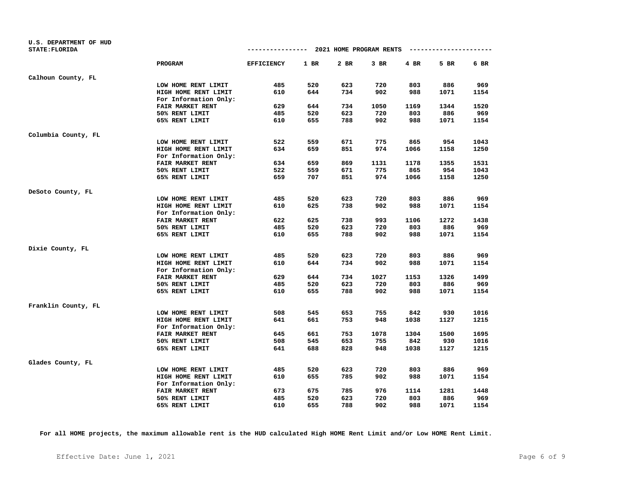| U.S. DEPARTMENT OF HUD<br><b>STATE: FLORIDA</b> |                         | ------------ 2021 HOME PROGRAM RENTS |      |      |        |        | ---------------------- |      |
|-------------------------------------------------|-------------------------|--------------------------------------|------|------|--------|--------|------------------------|------|
|                                                 | PROGRAM                 | <b>EFFICIENCY</b>                    | 1 BR | 2 BR | $3$ BR | $4$ BR | 5 BR                   | 6 BR |
| Calhoun County, FL                              |                         |                                      |      |      |        |        |                        |      |
|                                                 | LOW HOME RENT LIMIT     | 485                                  | 520  | 623  | 720    | 803    | 886                    | 969  |
|                                                 | HIGH HOME RENT LIMIT    | 610                                  | 644  | 734  | 902    | 988    | 1071                   | 1154 |
|                                                 | For Information Only:   |                                      |      |      |        |        |                        |      |
|                                                 | FAIR MARKET RENT        | 629                                  | 644  | 734  | 1050   | 1169   | 1344                   | 1520 |
|                                                 | 50% RENT LIMIT          | 485                                  | 520  | 623  | 720    | 803    | 886                    | 969  |
|                                                 | 65% RENT LIMIT          | 610                                  | 655  | 788  | 902    | 988    | 1071                   | 1154 |
| Columbia County, FL                             |                         |                                      |      |      |        |        |                        |      |
|                                                 | LOW HOME RENT LIMIT     | 522                                  | 559  | 671  | 775    | 865    | 954                    | 1043 |
|                                                 | HIGH HOME RENT LIMIT    | 634                                  | 659  | 851  | 974    | 1066   | 1158                   | 1250 |
|                                                 | For Information Only:   |                                      |      |      |        |        |                        |      |
|                                                 | FAIR MARKET RENT        | 634                                  | 659  | 869  | 1131   | 1178   | 1355                   | 1531 |
|                                                 | 50% RENT LIMIT          | 522                                  | 559  | 671  | 775    | 865    | 954                    | 1043 |
|                                                 | 65% RENT LIMIT          | 659                                  | 707  | 851  | 974    | 1066   | 1158                   | 1250 |
| DeSoto County, FL                               |                         |                                      |      |      |        |        |                        |      |
|                                                 | LOW HOME RENT LIMIT     | 485                                  | 520  | 623  | 720    | 803    | 886                    | 969  |
|                                                 | HIGH HOME RENT LIMIT    | 610                                  | 625  | 738  | 902    | 988    | 1071                   | 1154 |
|                                                 | For Information Only:   |                                      |      |      |        |        |                        |      |
|                                                 | <b>FAIR MARKET RENT</b> | 622                                  | 625  | 738  | 993    | 1106   | 1272                   | 1438 |
|                                                 | 50% RENT LIMIT          | 485                                  | 520  | 623  | 720    | 803    | 886                    | 969  |
|                                                 | 65% RENT LIMIT          | 610                                  | 655  | 788  | 902    | 988    | 1071                   | 1154 |
| Dixie County, FL                                |                         |                                      |      |      |        |        |                        |      |
|                                                 | LOW HOME RENT LIMIT     | 485                                  | 520  | 623  | 720    | 803    | 886                    | 969  |
|                                                 | HIGH HOME RENT LIMIT    | 610                                  | 644  | 734  | 902    | 988    | 1071                   | 1154 |
|                                                 | For Information Only:   |                                      |      |      |        |        |                        |      |
|                                                 | <b>FAIR MARKET RENT</b> | 629                                  | 644  | 734  | 1027   | 1153   | 1326                   | 1499 |
|                                                 | 50% RENT LIMIT          | 485                                  | 520  | 623  | 720    | 803    | 886                    | 969  |
|                                                 | 65% RENT LIMIT          | 610                                  | 655  | 788  | 902    | 988    | 1071                   | 1154 |
| Franklin County, FL                             |                         |                                      |      |      |        |        |                        |      |
|                                                 | LOW HOME RENT LIMIT     | 508                                  | 545  | 653  | 755    | 842    | 930                    | 1016 |
|                                                 | HIGH HOME RENT LIMIT    | 641                                  | 661  | 753  | 948    | 1038   | 1127                   | 1215 |
|                                                 | For Information Only:   |                                      |      |      |        |        |                        |      |
|                                                 | FAIR MARKET RENT        | 645                                  | 661  | 753  | 1078   | 1304   | 1500                   | 1695 |
|                                                 | 50% RENT LIMIT          | 508                                  | 545  | 653  | 755    | 842    | 930                    | 1016 |
|                                                 | 65% RENT LIMIT          | 641                                  | 688  | 828  | 948    | 1038   | 1127                   | 1215 |
| Glades County, FL                               |                         |                                      |      |      |        |        |                        |      |
|                                                 | LOW HOME RENT LIMIT     | 485                                  | 520  | 623  | 720    | 803    | 886                    | 969  |
|                                                 | HIGH HOME RENT LIMIT    | 610                                  | 655  | 785  | 902    | 988    | 1071                   | 1154 |
|                                                 | For Information Only:   |                                      |      |      |        |        |                        |      |
|                                                 | FAIR MARKET RENT        | 673                                  | 675  | 785  | 976    | 1114   | 1281                   | 1448 |
|                                                 | 50% RENT LIMIT          | 485                                  | 520  | 623  | 720    | 803    | 886                    | 969  |
|                                                 | 65% RENT LIMIT          | 610                                  | 655  | 788  | 902    | 988    | 1071                   | 1154 |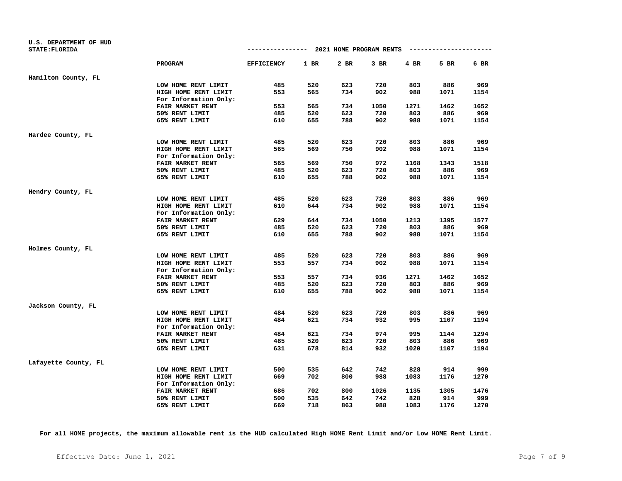| U.S. DEPARTMENT OF HUD |                         |                   |      |      |                                       |        |                        |      |
|------------------------|-------------------------|-------------------|------|------|---------------------------------------|--------|------------------------|------|
| <b>STATE: FLORIDA</b>  |                         |                   |      |      | ------------- 2021 HOME PROGRAM RENTS |        | ---------------------- |      |
|                        | PROGRAM                 | <b>EFFICIENCY</b> | 1 BR | 2 BR | 3 BR                                  | $4$ BR | 5 BR                   | 6 BR |
| Hamilton County, FL    |                         |                   |      |      |                                       |        |                        |      |
|                        | LOW HOME RENT LIMIT     | 485               | 520  | 623  | 720                                   | 803    | 886                    | 969  |
|                        | HIGH HOME RENT LIMIT    | 553               | 565  | 734  | 902                                   | 988    | 1071                   | 1154 |
|                        | For Information Only:   |                   |      |      |                                       |        |                        |      |
|                        | FAIR MARKET RENT        | 553               | 565  | 734  | 1050                                  | 1271   | 1462                   | 1652 |
|                        | 50% RENT LIMIT          | 485               | 520  | 623  | 720                                   | 803    | 886                    | 969  |
|                        | 65% RENT LIMIT          | 610               | 655  | 788  | 902                                   | 988    | 1071                   | 1154 |
| Hardee County, FL      |                         |                   |      |      |                                       |        |                        |      |
|                        | LOW HOME RENT LIMIT     | 485               | 520  | 623  | 720                                   | 803    | 886                    | 969  |
|                        | HIGH HOME RENT LIMIT    | 565               | 569  | 750  | 902                                   | 988    | 1071                   | 1154 |
|                        | For Information Only:   |                   |      |      |                                       |        |                        |      |
|                        | FAIR MARKET RENT        | 565               | 569  | 750  | 972                                   | 1168   | 1343                   | 1518 |
|                        | 50% RENT LIMIT          | 485               | 520  | 623  | 720                                   | 803    | 886                    | 969  |
|                        | 65% RENT LIMIT          | 610               | 655  | 788  | 902                                   | 988    | 1071                   | 1154 |
| Hendry County, FL      |                         |                   |      |      |                                       |        |                        |      |
|                        | LOW HOME RENT LIMIT     | 485               | 520  | 623  | 720                                   | 803    | 886                    | 969  |
|                        | HIGH HOME RENT LIMIT    | 610               | 644  | 734  | 902                                   | 988    | 1071                   | 1154 |
|                        | For Information Only:   |                   |      |      |                                       |        |                        |      |
|                        | <b>FAIR MARKET RENT</b> | 629               | 644  | 734  | 1050                                  | 1213   | 1395                   | 1577 |
|                        | 50% RENT LIMIT          | 485               | 520  | 623  | 720                                   | 803    | 886                    | 969  |
|                        | 65% RENT LIMIT          | 610               | 655  | 788  | 902                                   | 988    | 1071                   | 1154 |
| Holmes County, FL      |                         |                   |      |      |                                       |        |                        |      |
|                        | LOW HOME RENT LIMIT     | 485               | 520  | 623  | 720                                   | 803    | 886                    | 969  |
|                        | HIGH HOME RENT LIMIT    | 553               | 557  | 734  | 902                                   | 988    | 1071                   | 1154 |
|                        | For Information Only:   |                   |      |      |                                       |        |                        |      |
|                        | <b>FAIR MARKET RENT</b> | 553               | 557  | 734  | 936                                   | 1271   | 1462                   | 1652 |
|                        | 50% RENT LIMIT          | 485               | 520  | 623  | 720                                   | 803    | 886                    | 969  |
|                        | 65% RENT LIMIT          | 610               | 655  | 788  | 902                                   | 988    | 1071                   | 1154 |
| Jackson County, FL     |                         |                   |      |      |                                       |        |                        |      |
|                        | LOW HOME RENT LIMIT     | 484               | 520  | 623  | 720                                   | 803    | 886                    | 969  |
|                        | HIGH HOME RENT LIMIT    | 484               | 621  | 734  | 932                                   | 995    | 1107                   | 1194 |
|                        | For Information Only:   |                   |      |      |                                       |        |                        |      |
|                        | FAIR MARKET RENT        | 484               | 621  | 734  | 974                                   | 995    | 1144                   | 1294 |
|                        | 50% RENT LIMIT          | 485               | 520  | 623  | 720                                   | 803    | 886                    | 969  |
|                        | 65% RENT LIMIT          | 631               | 678  | 814  | 932                                   | 1020   | 1107                   | 1194 |
| Lafayette County, FL   |                         |                   |      |      |                                       |        |                        |      |
|                        | LOW HOME RENT LIMIT     | 500               | 535  | 642  | 742                                   | 828    | 914                    | 999  |
|                        | HIGH HOME RENT LIMIT    | 669               | 702  | 800  | 988                                   | 1083   | 1176                   | 1270 |
|                        | For Information Only:   |                   |      |      |                                       |        |                        |      |
|                        | FAIR MARKET RENT        | 686               | 702  | 800  | 1026                                  | 1135   | 1305                   | 1476 |
|                        | 50% RENT LIMIT          | 500               | 535  | 642  | 742                                   | 828    | 914                    | 999  |
|                        | 65% RENT LIMIT          | 669               | 718  | 863  | 988                                   | 1083   | 1176                   | 1270 |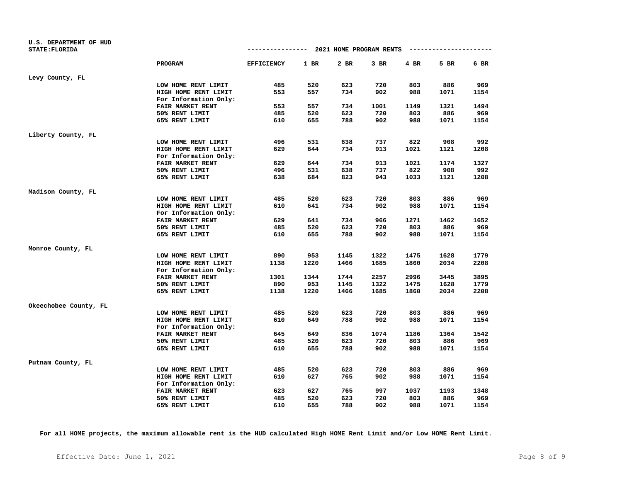| U.S. DEPARTMENT OF HUD<br><b>STATE: FLORIDA</b> |                         | ------------ 2021 HOME PROGRAM RENTS |      |      |        |        | ---------------------- |      |
|-------------------------------------------------|-------------------------|--------------------------------------|------|------|--------|--------|------------------------|------|
|                                                 | PROGRAM                 | <b>EFFICIENCY</b>                    | 1 BR | 2 BR | $3$ BR | $4$ BR | 5 BR                   | 6 BR |
| Levy County, FL                                 |                         |                                      |      |      |        |        |                        |      |
|                                                 | LOW HOME RENT LIMIT     | 485                                  | 520  | 623  | 720    | 803    | 886                    | 969  |
|                                                 | HIGH HOME RENT LIMIT    | 553                                  | 557  | 734  | 902    | 988    | 1071                   | 1154 |
|                                                 | For Information Only:   |                                      |      |      |        |        |                        |      |
|                                                 | FAIR MARKET RENT        | 553                                  | 557  | 734  | 1001   | 1149   | 1321                   | 1494 |
|                                                 | 50% RENT LIMIT          | 485                                  | 520  | 623  | 720    | 803    | 886                    | 969  |
|                                                 | 65% RENT LIMIT          | 610                                  | 655  | 788  | 902    | 988    | 1071                   | 1154 |
| Liberty County, FL                              |                         |                                      |      |      |        |        |                        |      |
|                                                 | LOW HOME RENT LIMIT     | 496                                  | 531  | 638  | 737    | 822    | 908                    | 992  |
|                                                 | HIGH HOME RENT LIMIT    | 629                                  | 644  | 734  | 913    | 1021   | 1121                   | 1208 |
|                                                 | For Information Only:   |                                      |      |      |        |        |                        |      |
|                                                 | FAIR MARKET RENT        | 629                                  | 644  | 734  | 913    | 1021   | 1174                   | 1327 |
|                                                 | 50% RENT LIMIT          | 496                                  | 531  | 638  | 737    | 822    | 908                    | 992  |
|                                                 | 65% RENT LIMIT          | 638                                  | 684  | 823  | 943    | 1033   | 1121                   | 1208 |
| Madison County, FL                              |                         |                                      |      |      |        |        |                        |      |
|                                                 | LOW HOME RENT LIMIT     | 485                                  | 520  | 623  | 720    | 803    | 886                    | 969  |
|                                                 | HIGH HOME RENT LIMIT    | 610                                  | 641  | 734  | 902    | 988    | 1071                   | 1154 |
|                                                 | For Information Only:   |                                      |      |      |        |        |                        |      |
|                                                 | <b>FAIR MARKET RENT</b> | 629                                  | 641  | 734  | 966    | 1271   | 1462                   | 1652 |
|                                                 | 50% RENT LIMIT          | 485                                  | 520  | 623  | 720    | 803    | 886                    | 969  |
|                                                 | 65% RENT LIMIT          | 610                                  | 655  | 788  | 902    | 988    | 1071                   | 1154 |
| Monroe County, FL                               |                         |                                      |      |      |        |        |                        |      |
|                                                 | LOW HOME RENT LIMIT     | 890                                  | 953  | 1145 | 1322   | 1475   | 1628                   | 1779 |
|                                                 | HIGH HOME RENT LIMIT    | 1138                                 | 1220 | 1466 | 1685   | 1860   | 2034                   | 2208 |
|                                                 | For Information Only:   |                                      |      |      |        |        |                        |      |
|                                                 | <b>FAIR MARKET RENT</b> | 1301                                 | 1344 | 1744 | 2257   | 2996   | 3445                   | 3895 |
|                                                 | 50% RENT LIMIT          | 890                                  | 953  | 1145 | 1322   | 1475   | 1628                   | 1779 |
|                                                 | 65% RENT LIMIT          | 1138                                 | 1220 | 1466 | 1685   | 1860   | 2034                   | 2208 |
| Okeechobee County, FL                           |                         |                                      |      |      |        |        |                        |      |
|                                                 | LOW HOME RENT LIMIT     | 485                                  | 520  | 623  | 720    | 803    | 886                    | 969  |
|                                                 | HIGH HOME RENT LIMIT    | 610                                  | 649  | 788  | 902    | 988    | 1071                   | 1154 |
|                                                 | For Information Only:   |                                      |      |      |        |        |                        |      |
|                                                 | FAIR MARKET RENT        | 645                                  | 649  | 836  | 1074   | 1186   | 1364                   | 1542 |
|                                                 | 50% RENT LIMIT          | 485                                  | 520  | 623  | 720    | 803    | 886                    | 969  |
|                                                 | 65% RENT LIMIT          | 610                                  | 655  | 788  | 902    | 988    | 1071                   | 1154 |
| Putnam County, FL                               |                         |                                      |      |      |        |        |                        |      |
|                                                 | LOW HOME RENT LIMIT     | 485                                  | 520  | 623  | 720    | 803    | 886                    | 969  |
|                                                 | HIGH HOME RENT LIMIT    | 610                                  | 627  | 765  | 902    | 988    | 1071                   | 1154 |
|                                                 | For Information Only:   |                                      |      |      |        |        |                        |      |
|                                                 | FAIR MARKET RENT        | 623                                  | 627  | 765  | 997    | 1037   | 1193                   | 1348 |
|                                                 | 50% RENT LIMIT          | 485                                  | 520  | 623  | 720    | 803    | 886                    | 969  |
|                                                 | 65% RENT LIMIT          | 610                                  | 655  | 788  | 902    | 988    | 1071                   | 1154 |